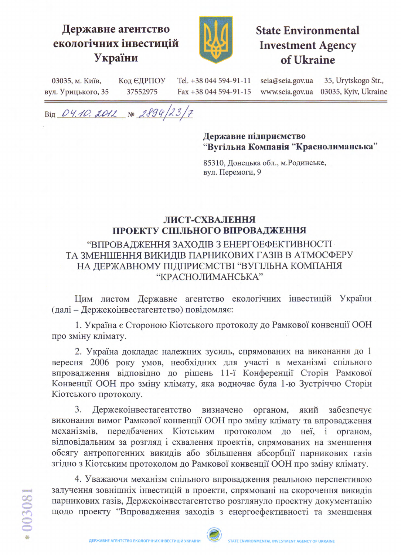## Державне агентство екологічних інвестицій України



# **State Environmental Investment Agency** of Ukraine

Tel. +38 044 594-91-11 seia@seia.gov.ua 35, Urytskogo Str., 03035, м. Київ, Код ЄДРПОУ вул. Урицького, 35 37552975 Fax +38 044 594-91-15 www.seia.gov.ua 03035, Kyiv, Ukraine

Big 04.10. 2012 No 2894/23/7

#### Державне підприємство "Вугільна Компанія "Краснолиманська"

85310, Донецька обл., м. Родинське, вул. Перемоги, 9

## ЛИСТ-СХВАЛЕННЯ ПРОЕКТУ СПІЛЬНОГО ВПРОВАДЖЕННЯ

## "ВПРОВАДЖЕННЯ ЗАХОДІВ З ЕНЕРГОЕФЕКТИВНОСТІ ТА ЗМЕНШЕННЯ ВИКИДІВ ПАРНИКОВИХ ГАЗІВ В АТМОСФЕРУ НА ДЕРЖАВНОМУ ПІДПРИЄМСТВІ "ВУГІЛЬНА КОМПАНІЯ "КРАСНОЛИМАНСЬКА"

Цим листом Державне агентство екологічних інвестицій України (далі - Держекоінвестагентство) повідомляє:

1. Україна є Стороною Кіотського протоколу до Рамкової конвенції ООН про зміну клімату.

2. Україна докладає належних зусиль, спрямованих на виконання до 1 вересня 2006 року умов, необхідних для участі в механізмі спільного впровадження відповідно до рішень 11-ї Конференції Сторін Рамкової Конвенції ООН про зміну клімату, яка водночас була 1-ю Зустріччю Сторін Кіотського протоколу.

3. Держекоінвестагентство визначено органом, який забезпечує виконання вимог Рамкової конвенції ООН про зміну клімату та впровадження передбачених Кіотським протоколом до неї, механізмів,  $\mathbf{i}$ органом, відповідальним за розгляд і схвалення проектів, спрямованих на зменшення обсягу антропогенних викидів або збільшення абсорбції парникових газів згідно з Кіотським протоколом до Рамкової конвенції ООН про зміну клімату.

4. Уважаючи механізм спільного впровадження реальною перспективою залучення зовнішніх інвестицій в проекти, спрямовані на скорочення викидів парникових газів, Держекоінвестагентство розглянуло проектну документацію щодо проекту "Впровадження заходів з енергоефективності та зменшення